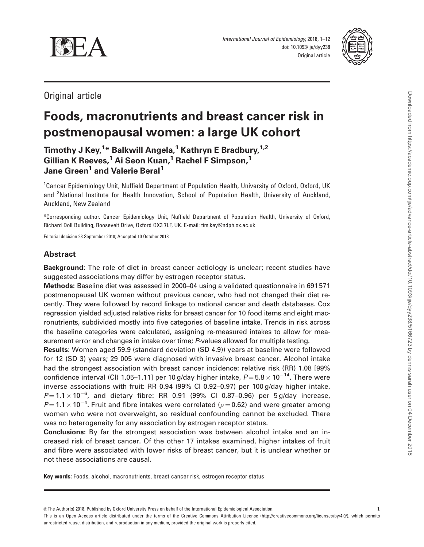

International Journal of Epidemiology, 2018, 1–12 doi: 10.1093/ije/dyy238 Original article



Original article

# Foods, macronutrients and breast cancer risk in postmenopausal women: a large UK cohort

Timothy J Key,<sup>1</sup>\* Balkwill Angela,<sup>1</sup> Kathryn E Bradbury,<sup>1,2</sup> Gillian K Reeves,<sup>1</sup> Ai Seon Kuan,<sup>1</sup> Rachel F Simpson,<sup>1</sup> Jane Green<sup>1</sup> and Valerie Beral<sup>1</sup>

<sup>1</sup>Cancer Epidemiology Unit, Nuffield Department of Population Health, University of Oxford, Oxford, UK and <sup>2</sup>National Institute for Health Innovation, School of Population Health, University of Auckland, Auckland, New Zealand

\*Corresponding author. Cancer Epidemiology Unit, Nuffield Department of Population Health, University of Oxford, Richard Doll Building, Roosevelt Drive, Oxford OX3 7LF, UK. E-mail: tim.key@ndph.ox.ac.uk

Editorial decision 23 September 2018; Accepted 10 October 2018

## Abstract

Background: The role of diet in breast cancer aetiology is unclear; recent studies have suggested associations may differ by estrogen receptor status.

Methods: Baseline diet was assessed in 2000–04 using a validated questionnaire in 691 571 postmenopausal UK women without previous cancer, who had not changed their diet recently. They were followed by record linkage to national cancer and death databases. Cox regression yielded adjusted relative risks for breast cancer for 10 food items and eight macronutrients, subdivided mostly into five categories of baseline intake. Trends in risk across the baseline categories were calculated, assigning re-measured intakes to allow for measurement error and changes in intake over time; P-values allowed for multiple testing.

Results: Women aged 59.9 (standard deviation (SD 4.9)) years at baseline were followed for 12 (SD 3) years; 29 005 were diagnosed with invasive breast cancer. Alcohol intake had the strongest association with breast cancer incidence: relative risk (RR) 1.08 [99% confidence interval (Cl) 1.05–1.11] per 10 g/day higher intake,  $P\!=\!5.8\!\times\!10^{-14}.$  There were inverse associations with fruit: RR 0.94 (99% CI 0.92–0.97) per 100 g/day higher intake,  $P = 1.1 \times 10^{-6}$ , and dietary fibre: RR 0.91 (99% CI 0.87-0.96) per 5 g/day increase,  $P$ = 1.1  $\times$  10 $^{-4}$ . Fruit and fibre intakes were correlated ( $\rho$  = 0.62) and were greater among women who were not overweight, so residual confounding cannot be excluded. There was no heterogeneity for any association by estrogen receptor status.

Conclusions: By far the strongest association was between alcohol intake and an increased risk of breast cancer. Of the other 17 intakes examined, higher intakes of fruit and fibre were associated with lower risks of breast cancer, but it is unclear whether or not these associations are causal.

Key words: Foods, alcohol, macronutrients, breast cancer risk, estrogen receptor status

This is an Open Access article distributed under the terms of the Creative Commons Attribution License (http://creativecommons.org/licenses/by/4.0/), which permits unrestricted reuse, distribution, and reproduction in any medium, provided the original work is properly cited.

 $©$  The Author(s) 2018. Published by Oxford University Press on behalf of the International Epidemiological Association.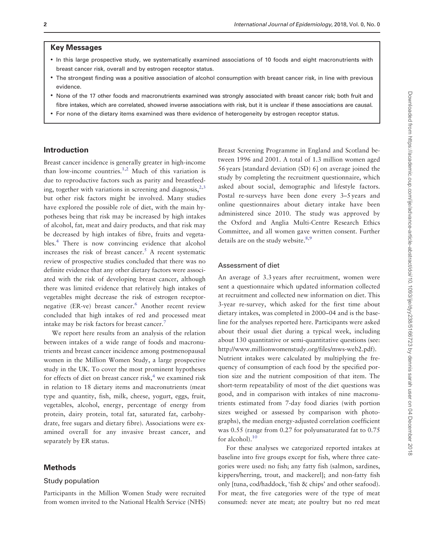## <span id="page-1-0"></span>Key Messages

- In this large prospective study, we systematically examined associations of 10 foods and eight macronutrients with breast cancer risk, overall and by estrogen receptor status.
- The strongest finding was a positive association of alcohol consumption with breast cancer risk, in line with previous evidence.
- None of the 17 other foods and macronutrients examined was strongly associated with breast cancer risk; both fruit and fibre intakes, which are correlated, showed inverse associations with risk, but it is unclear if these associations are causal.
- For none of the dietary items examined was there evidence of heterogeneity by estrogen receptor status.

## Introduction

Breast cancer incidence is generally greater in high-income than low-income countries.<sup>1,2</sup> Much of this variation is due to reproductive factors such as parity and breastfeeding, together with variations in screening and diagnosis,  $2,3$ but other risk factors might be involved. Many studies have explored the possible role of diet, with the main hypotheses being that risk may be increased by high intakes of alcohol, fat, meat and dairy products, and that risk may be decreased by high intakes of fibre, fruits and vegetables[.4](#page-10-0) There is now convincing evidence that alcohol increases the risk of breast cancer.<sup>5</sup> A recent systematic review of prospective studies concluded that there was no definite evidence that any other dietary factors were associated with the risk of developing breast cancer, although there was limited evidence that relatively high intakes of vegetables might decrease the risk of estrogen receptornegative (ER-ve) breast cancer.<sup>6</sup> Another recent review concluded that high intakes of red and processed meat intake may be risk factors for breast cancer.<sup>7</sup>

We report here results from an analysis of the relation between intakes of a wide range of foods and macronutrients and breast cancer incidence among postmenopausal women in the Million Women Study, a large prospective study in the UK. To cover the most prominent hypotheses for effects of diet on breast cancer risk, $4$  we examined risk in relation to 18 dietary items and macronutrients (meat type and quantity, fish, milk, cheese, yogurt, eggs, fruit, vegetables, alcohol, energy, percentage of energy from protein, dairy protein, total fat, saturated fat, carbohydrate, free sugars and dietary fibre). Associations were examined overall for any invasive breast cancer, and separately by ER status.

## Methods

#### Study population

Participants in the Million Women Study were recruited from women invited to the National Health Service (NHS)

Breast Screening Programme in England and Scotland between 1996 and 2001. A total of 1.3 million women aged 56 years [standard deviation (SD) 6] on average joined the study by completing the recruitment questionnaire, which asked about social, demographic and lifestyle factors. Postal re-surveys have been done every 3–5 years and online questionnaires about dietary intake have been administered since 2010. The study was approved by the Oxford and Anglia Multi-Centre Research Ethics Committee, and all women gave written consent. Further details are on the study website.<sup>8,9</sup>

#### Assessment of diet

An average of 3.3 years after recruitment, women were sent a questionnaire which updated information collected at recruitment and collected new information on diet. This 3-year re-survey, which asked for the first time about dietary intakes, was completed in 2000–04 and is the baseline for the analyses reported here. Participants were asked about their usual diet during a typical week, including about 130 quantitative or semi-quantitative questions (see: [http://www.millionwomenstudy.org/files/mws-web2.pdf\)](http://www.millionwomenstudy.org/files/mws-web2.pdf). Nutrient intakes were calculated by multiplying the frequency of consumption of each food by the specified portion size and the nutrient composition of that item. The short-term repeatability of most of the diet questions was good, and in comparison with intakes of nine macronutrients estimated from 7-day food diaries (with portion sizes weighed or assessed by comparison with photographs), the median energy-adjusted correlation coefficient was 0.55 (range from 0.27 for polyunsaturated fat to 0.75 for alcohol).<sup>10</sup>

For these analyses we categorized reported intakes at baseline into five groups except for fish, where three categories were used: no fish; any fatty fish (salmon, sardines, kippers/herring, trout, and mackerel]; and non-fatty fish only [tuna, cod/haddock, 'fish & chips' and other seafood). For meat, the five categories were of the type of meat consumed: never ate meat; ate poultry but no red meat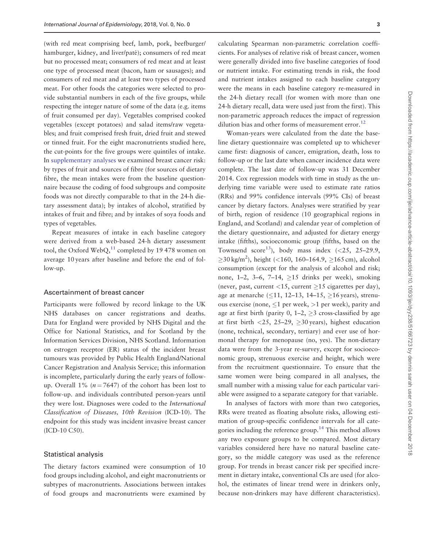<span id="page-2-0"></span>(with red meat comprising beef, lamb, pork, beefburger/ hamburger, kidney, and liver/paté); consumers of red meat but no processed meat; consumers of red meat and at least one type of processed meat (bacon, ham or sausages); and consumers of red meat and at least two types of processed meat. For other foods the categories were selected to provide substantial numbers in each of the five groups, while respecting the integer nature of some of the data (e.g. items of fruit consumed per day). Vegetables comprised cooked vegetables (except potatoes) and salad items/raw vegetables; and fruit comprised fresh fruit, dried fruit and stewed or tinned fruit. For the eight macronutrients studied here, the cut-points for the five groups were quintiles of intake. In [supplementary analyses](https://academic.oup.com/ije/article-lookup/doi/10.1093/ije/dyy238#supplementary-data) we examined breast cancer risk: by types of fruit and sources of fibre (for sources of dietary fibre, the mean intakes were from the baseline questionnaire because the coding of food subgroups and composite foods was not directly comparable to that in the 24-h dietary assessment data); by intakes of alcohol, stratified by intakes of fruit and fibre; and by intakes of soya foods and types of vegetables.

Repeat measures of intake in each baseline category were derived from a web-based 24-h dietary assessment tool, the Oxford WebQ, $^{11}$  $^{11}$  $^{11}$  completed by 19 478 women on average 10 years after baseline and before the end of follow-up.

#### Ascertainment of breast cancer

Participants were followed by record linkage to the UK NHS databases on cancer registrations and deaths. Data for England were provided by NHS Digital and the Office for National Statistics, and for Scotland by the Information Services Division, NHS Scotland. Information on estrogen receptor (ER) status of the incident breast tumours was provided by Public Health England/National Cancer Registration and Analysis Service; this information is incomplete, particularly during the early years of followup. Overall 1% ( $n = 7647$ ) of the cohort has been lost to follow-up. and individuals contributed person-years until they were lost. Diagnoses were coded to the International Classification of Diseases, 10th Revision (ICD-10). The endpoint for this study was incident invasive breast cancer (ICD-10 C50).

#### Statistical analysis

The dietary factors examined were consumption of 10 food groups including alcohol, and eight macronutrients or subtypes of macronutrients. Associations between intakes of food groups and macronutrients were examined by calculating Spearman non-parametric correlation coefficients. For analyses of relative risk of breast cancer, women were generally divided into five baseline categories of food or nutrient intake. For estimating trends in risk, the food and nutrient intakes assigned to each baseline category were the means in each baseline category re-measured in the 24-h dietary recall (for women with more than one 24-h dietary recall, data were used just from the first). This non-parametric approach reduces the impact of regression dilution bias and other forms of measurement error.<sup>[12](#page-10-0)</sup>

Woman-years were calculated from the date the baseline dietary questionnaire was completed up to whichever came first: diagnosis of cancer, emigration, death, loss to follow-up or the last date when cancer incidence data were complete. The last date of follow-up was 31 December 2014. Cox regression models with time in study as the underlying time variable were used to estimate rate ratios (RRs) and 99% confidence intervals (99% CIs) of breast cancer by dietary factors. Analyses were stratified by year of birth, region of residence (10 geographical regions in England, and Scotland) and calendar year of completion of the dietary questionnaire, and adjusted for dietary energy intake (fifths), socioeconomic group (fifths, based on the Townsend score<sup>[13](#page-10-0)</sup>), body mass index  $\langle$  <25, 25–29.9,  $\geq$ 30 kg/m<sup>2</sup>), height (<160, 160-164.9,  $\geq$ 165 cm), alcohol consumption (except for the analysis of alcohol and risk; none, 1–2, 3–6, 7–14,  $\geq$ 15 drinks per week), smoking (never, past, current <15, current  $\geq$ 15 cigarettes per day), age at menarche  $(11, 12-13, 14-15, >16$  years), strenuous exercise (none,  $\leq 1$  per week,  $>1$  per week), parity and age at first birth (parity 0, 1–2,  $\geq$ 3 cross-classified by age at first birth  $\langle 25, 25-29, \rangle$  > 30 years), highest education (none, technical, secondary, tertiary) and ever use of hormonal therapy for menopause (no, yes). The non-dietary data were from the 3-year re-survey, except for socioeconomic group, strenuous exercise and height, which were from the recruitment questionnaire. To ensure that the same women were being compared in all analyses, the small number with a missing value for each particular variable were assigned to a separate category for that variable.

In analyses of factors with more than two categories, RRs were treated as floating absolute risks, allowing estimation of group-specific confidence intervals for all categories including the reference group[.14](#page-10-0) This method allows any two exposure groups to be compared. Most dietary variables considered here have no natural baseline category, so the middle category was used as the reference group. For trends in breast cancer risk per specified increment in dietary intake, conventional CIs are used (for alcohol, the estimates of linear trend were in drinkers only, because non-drinkers may have different characteristics).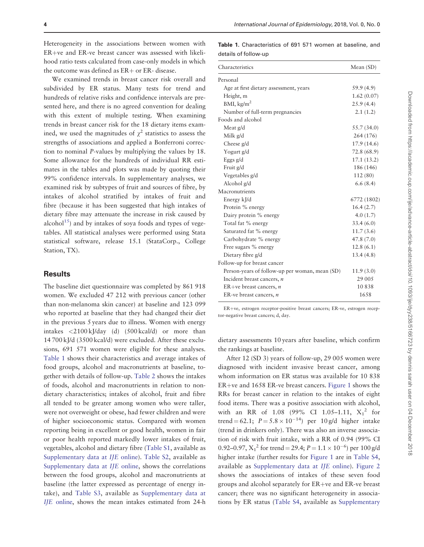<span id="page-3-0"></span>Heterogeneity in the associations between women with  $ER+ve$  and  $ER-ve$  breast cancer was assessed with likelihood ratio tests calculated from case-only models in which the outcome was defined as  $ER +$  or  $ER -$  disease.

We examined trends in breast cancer risk overall and subdivided by ER status. Many tests for trend and hundreds of relative risks and confidence intervals are presented here, and there is no agreed convention for dealing with this extent of multiple testing. When examining trends in breast cancer risk for the 18 dietary items examined, we used the magnitudes of  $\chi^2$  statistics to assess the strengths of associations and applied a Bonferroni correction to nominal P-values by multiplying the values by 18. Some allowance for the hundreds of individual RR estimates in the tables and plots was made by quoting their 99% confidence intervals. In supplementary analyses, we examined risk by subtypes of fruit and sources of fibre, by intakes of alcohol stratified by intakes of fruit and fibre (because it has been suggested that high intakes of dietary fibre may attenuate the increase in risk caused by alcohol<sup>15</sup>) and by intakes of soya foods and types of vegetables. All statistical analyses were performed using Stata statistical software, release 15.1 (StataCorp., College Station, TX).

## Results

The baseline diet questionnaire was completed by 861 918 women. We excluded 47 212 with previous cancer (other than non-melanoma skin cancer) at baseline and 123 099 who reported at baseline that they had changed their diet in the previous 5 years due to illness. Women with energy intakes <2100 kJ/day (d) (500 kcal/d) or more than 14 700 kJ/d (3500 kcal/d) were excluded. After these exclusions, 691 571 women were eligible for these analyses. Table 1 shows their characteristics and average intakes of food groups, alcohol and macronutrients at baseline, together with details of follow-up. [Table 2](#page-4-0) shows the intakes of foods, alcohol and macronutrients in relation to nondietary characteristics; intakes of alcohol, fruit and fibre all tended to be greater among women who were taller, were not overweight or obese, had fewer children and were of higher socioeconomic status. Compared with women reporting being in excellent or good health, women in fair or poor health reported markedly lower intakes of fruit, vegetables, alcohol and dietary fibre [\(Table S1](https://academic.oup.com/ije/article-lookup/doi/10.1093/ije/dyy238#supplementary-data), available as [Supplementary data at](https://academic.oup.com/ije/article-lookup/doi/10.1093/ije/dyy238#supplementary-data) IJE online). [Table S2](https://academic.oup.com/ije/article-lookup/doi/10.1093/ije/dyy238#supplementary-data), available as [Supplementary data at](https://academic.oup.com/ije/article-lookup/doi/10.1093/ije/dyy238#supplementary-data) IJE online, shows the correlations between the food groups, alcohol and macronutrients at baseline (the latter expressed as percentage of energy intake), and [Table S3](https://academic.oup.com/ije/article-lookup/doi/10.1093/ije/dyy238#supplementary-data), available as [Supplementary data at](https://academic.oup.com/ije/article-lookup/doi/10.1093/ije/dyy238#supplementary-data) IJE [online](https://academic.oup.com/ije/article-lookup/doi/10.1093/ije/dyy238#supplementary-data), shows the mean intakes estimated from 24-h

Table 1. Characteristics of 691 571 women at baseline, and details of follow-up

| Characteristics                                | Mean $(SD)$ |
|------------------------------------------------|-------------|
| Personal                                       |             |
| Age at first dietary assessment, years         | 59.9 (4.9)  |
| Height, m                                      | 1.62(0.07)  |
| BMI, kg/m <sup>2</sup>                         | 25.9(4.4)   |
| Number of full-term pregnancies                | 2.1(1.2)    |
| Foods and alcohol                              |             |
| Meat g/d                                       | 55.7 (34.0) |
| Milk g/d                                       | 264 (176)   |
| Cheese g/d                                     | 17.9(14.6)  |
| Yogurt g/d                                     | 72.8 (68.9) |
| Eggs $g/d$                                     | 17.1(13.2)  |
| Fruit g/d                                      | 186 (146)   |
| Vegetables g/d                                 | 112 (80)    |
| Alcohol g/d                                    | 6.6(8.4)    |
| Macronutrients                                 |             |
| Energy kJ/d                                    | 6772 (1802) |
| Protein % energy                               | 16.4(2.7)   |
| Dairy protein % energy                         | 4.0(1.7)    |
| Total fat % energy                             | 33.4(6.0)   |
| Saturated fat % energy                         | 11.7(3.6)   |
| Carbohydrate % energy                          | 47.8(7.0)   |
| Free sugars % energy                           | 12.8(6.1)   |
| Dietary fibre g/d                              | 13.4(4.8)   |
| Follow-up for breast cancer                    |             |
| Person-years of follow-up per woman, mean (SD) | 11.9(3.0)   |
| Incident breast cancers, n                     | 29 005      |
| ER+ve breast cancers, $n$                      | 10838       |
| ER-ve breast cancers, n                        | 1658        |

ER+ve, estrogen receptor-positive breast cancers; ER-ve, estrogen receptor-negative breast cancers; d, day.

dietary assessments 10 years after baseline, which confirm the rankings at baseline.

After 12 (SD 3) years of follow-up, 29 005 women were diagnosed with incident invasive breast cancer, among whom information on ER status was available for 10 838  $ER+ve$  and 1658 ER-ve breast cancers. [Figure 1](#page-5-0) shows the RRs for breast cancer in relation to the intakes of eight food items. There was a positive association with alcohol, with an RR of 1.08 (99% CI 1.05-1.11,  $X_1^2$  for trend = 62.1;  $P = 5.8 \times 10^{-14}$  per 10 g/d higher intake (trend in drinkers only). There was also an inverse association of risk with fruit intake, with a RR of 0.94 (99% CI 0.92–0.97,  $X_1^2$  for trend = 29.4;  $P = 1.1 \times 10^{-6}$ ) per 100 g/d higher intake (further results for [Figure 1](#page-5-0) are in [Table S4,](https://academic.oup.com/ije/article-lookup/doi/10.1093/ije/dyy238#supplementary-data) available as [Supplementary data at](https://academic.oup.com/ije/article-lookup/doi/10.1093/ije/dyy238#supplementary-data) IJE online). [Figure 2](#page-6-0) shows the associations of intakes of these seven food groups and alcohol separately for  $ER+ve$  and  $ER-ve$  breast cancer; there was no significant heterogeneity in associations by ER status ([Table S4,](https://academic.oup.com/ije/article-lookup/doi/10.1093/ije/dyy238#supplementary-data) available as [Supplementary](https://academic.oup.com/ije/article-lookup/doi/10.1093/ije/dyy238#supplementary-data)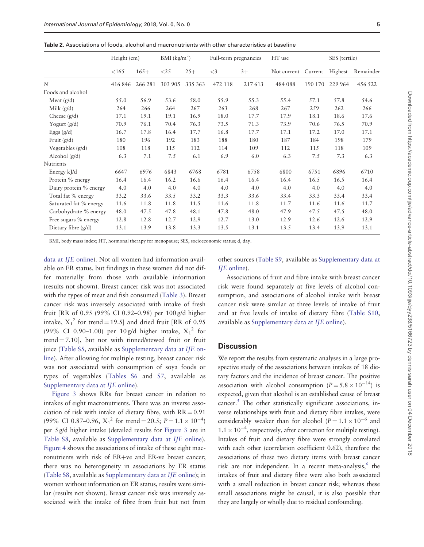|                        | Height (cm) |         | $BMI$ (kg/m <sup>2</sup> ) |         | Full-term pregnancies |        | HT use      |         | SES (tertile) |           |
|------------------------|-------------|---------|----------------------------|---------|-----------------------|--------|-------------|---------|---------------|-----------|
|                        | <165        | $165+$  | $<$ 25                     | $25+$   | $\leq$ 3              | $3+$   | Not current | Current | Highest       | Remainder |
| $\overline{N}$         | 416846      | 266 281 | 303 905                    | 335 363 | 472 118               | 217613 | 484 088     | 190 170 | 229 964       | 456 522   |
| Foods and alcohol      |             |         |                            |         |                       |        |             |         |               |           |
| Meat $(g/d)$           | 55.0        | 56.9    | 53.6                       | 58.0    | 55.9                  | 55.3   | 55.4        | 57.1    | 57.8          | 54.6      |
| Milk $(g/d)$           | 264         | 266     | 264                        | 267     | 263                   | 268    | 267         | 259     | 262           | 266       |
| Cheese $(g/d)$         | 17.1        | 19.1    | 19.1                       | 16.9    | 18.0                  | 17.7   | 17.9        | 18.1    | 18.6          | 17.6      |
| Yogurt $(g/d)$         | 70.9        | 76.1    | 70.4                       | 76.3    | 73.5                  | 71.3   | 73.9        | 70.6    | 76.5          | 70.9      |
| Eggs $(g/d)$           | 16.7        | 17.8    | 16.4                       | 17.7    | 16.8                  | 17.7   | 17.1        | 17.2    | 17.0          | 17.1      |
| Fruit $(g/d)$          | 180         | 196     | 192                        | 183     | 188                   | 180    | 187         | 184     | 198           | 179       |
| Vegetables (g/d)       | 108         | 118     | 115                        | 112     | 114                   | 109    | 112         | 115     | 118           | 109       |
| Alcohol $(g/d)$        | 6.3         | 7.1     | 7.5                        | 6.1     | 6.9                   | 6.0    | 6.3         | 7.5     | 7.3           | 6.3       |
| <b>Nutrients</b>       |             |         |                            |         |                       |        |             |         |               |           |
| Energy kJ/d            | 6647        | 6976    | 6843                       | 6768    | 6781                  | 6758   | 6800        | 6751    | 6896          | 6710      |
| Protein % energy       | 16.4        | 16.4    | 16.2                       | 16.6    | 16.4                  | 16.4   | 16.4        | 16.5    | 16.5          | 16.4      |
| Dairy protein % energy | 4.0         | 4.0     | 4.0                        | 4.0     | 4.0                   | 4.0    | 4.0         | 4.0     | 4.0           | 4.0       |
| Total fat % energy     | 33.2        | 33.6    | 33.5                       | 33.2    | 33.3                  | 33.6   | 33.4        | 33.3    | 33.4          | 33.4      |
| Saturated fat % energy | 11.6        | 11.8    | 11.8                       | 11.5    | 11.6                  | 11.8   | 11.7        | 11.6    | 11.6          | 11.7      |
| Carbohydrate % energy  | 48.0        | 47.5    | 47.8                       | 48.1    | 47.8                  | 48.0   | 47.9        | 47.5    | 47.5          | 48.0      |
| Free sugars % energy   | 12.8        | 12.8    | 12.7                       | 12.9    | 12.7                  | 13.0   | 12.9        | 12.6    | 12.6          | 12.9      |
| Dietary fibre $(g/d)$  | 13.1        | 13.9    | 13.8                       | 13.3    | 13.5                  | 13.1   | 13.5        | 13.4    | 13.9          | 13.1      |

<span id="page-4-0"></span>Table 2. Associations of foods, alcohol and macronutrients with other characteristics at baseline

BMI, body mass index; HT, hormonal therapy for menopause; SES, socioeconomic status; d, day.

[data at](https://academic.oup.com/ije/article-lookup/doi/10.1093/ije/dyy238#supplementary-data) IJE online). Not all women had information available on ER status, but findings in these women did not differ materially from those with available information (results not shown). Breast cancer risk was not associated with the types of meat and fish consumed [\(Table 3](#page-7-0)). Breast cancer risk was inversely associated with intake of fresh fruit [RR of 0.95 (99% CI 0.92–0.98) per 100 g/d higher intake,  $X_1^2$  for trend = 19.5] and dried fruit [RR of 0.95 (99% CI 0.90-1.00) per 10 g/d higher intake,  $X_1^2$  for trend  $= 7.10$ ], but not with tinned/stewed fruit or fruit juice [\(Table S5](https://academic.oup.com/ije/article-lookup/doi/10.1093/ije/dyy238#supplementary-data), available as [Supplementary data at](https://academic.oup.com/ije/article-lookup/doi/10.1093/ije/dyy238#supplementary-data) IJE on[line\)](https://academic.oup.com/ije/article-lookup/doi/10.1093/ije/dyy238#supplementary-data). After allowing for multiple testing, breast cancer risk was not associated with consumption of soya foods or types of vegetables [\(Tables S6](https://academic.oup.com/ije/article-lookup/doi/10.1093/ije/dyy238#supplementary-data) and [S7](https://academic.oup.com/ije/article-lookup/doi/10.1093/ije/dyy238#supplementary-data), available as [Supplementary data at](https://academic.oup.com/ije/article-lookup/doi/10.1093/ije/dyy238#supplementary-data) IJE online).

[Figure 3](#page-8-0) shows RRs for breast cancer in relation to intakes of eight macronutrients. There was an inverse association of risk with intake of dietary fibre, with  $RR = 0.91$ (99% CI 0.87–0.96,  $X_1^2$  for trend = 20.5;  $P = 1.1 \times 10^{-4}$ ) per 5 g/d higher intake (detailed results for [Figure 3](#page-8-0) are in [Table S8,](https://academic.oup.com/ije/article-lookup/doi/10.1093/ije/dyy238#supplementary-data) available as [Supplementary data at](https://academic.oup.com/ije/article-lookup/doi/10.1093/ije/dyy238#supplementary-data) IJE online). [Figure 4](#page-9-0) shows the associations of intake of these eight macronutrients with risk of  $ER+ve$  and  $ER-ve$  breast cancer; there was no heterogeneity in associations by ER status [\(Table S8](https://academic.oup.com/ije/article-lookup/doi/10.1093/ije/dyy238#supplementary-data), available as [Supplementary data at](https://academic.oup.com/ije/article-lookup/doi/10.1093/ije/dyy238#supplementary-data) IJE online); in women without information on ER status, results were similar (results not shown). Breast cancer risk was inversely associated with the intake of fibre from fruit but not from other sources ([Table S9](https://academic.oup.com/ije/article-lookup/doi/10.1093/ije/dyy238#supplementary-data), available as [Supplementary data at](https://academic.oup.com/ije/article-lookup/doi/10.1093/ije/dyy238#supplementary-data) IJE [online\)](https://academic.oup.com/ije/article-lookup/doi/10.1093/ije/dyy238#supplementary-data).

Associations of fruit and fibre intake with breast cancer risk were found separately at five levels of alcohol consumption, and associations of alcohol intake with breast cancer risk were similar at three levels of intake of fruit and at five levels of intake of dietary fibre ([Table S10,](https://academic.oup.com/ije/article-lookup/doi/10.1093/ije/dyy238#supplementary-data) available as [Supplementary data at](https://academic.oup.com/ije/article-lookup/doi/10.1093/ije/dyy238#supplementary-data) IJE online).

#### **Discussion**

We report the results from systematic analyses in a large prospective study of the associations between intakes of 18 dietary factors and the incidence of breast cancer. The positive association with alcohol consumption  $(P = 5.8 \times 10^{-14})$  is expected, given that alcohol is an established cause of breast cancer[.5](#page-10-0) The other statistically significant associations, inverse relationships with fruit and dietary fibre intakes, were considerably weaker than for alcohol  $(P = 1.1 \times 10^{-6}$  and  $1.1 \times 10^{-4}$ , respectively, after correction for multiple testing). Intakes of fruit and dietary fibre were strongly correlated with each other (correlation coefficient 0.62), therefore the associations of these two dietary items with breast cancer risk are not independent. In a recent meta-analysis, $6$  the intakes of fruit and dietary fibre were also both associated with a small reduction in breast cancer risk; whereas these small associations might be causal, it is also possible that they are largely or wholly due to residual confounding.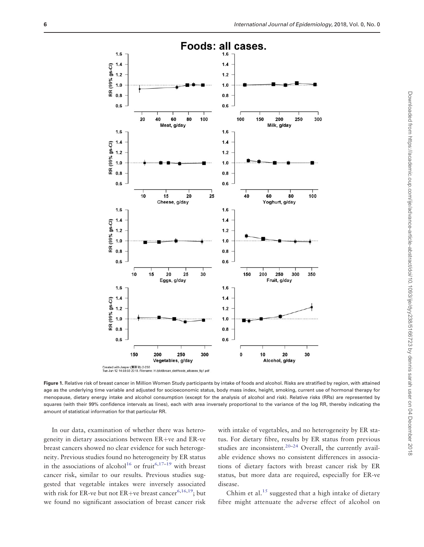<span id="page-5-0"></span>

Figure 1. Relative risk of breast cancer in Million Women Study participants by intake of foods and alcohol. Risks are stratified by region, with attained age as the underlying time variable and adjusted for socioeconomic status, body mass index, height, smoking, current use of hormonal therapy for menopause, dietary energy intake and alcohol consumption (except for the analysis of alcohol and risk). Relative risks (RRs) are represented by squares (with their 99% confidence intervals as lines), each with area inversely proportional to the variance of the log RR, thereby indicating the amount of statistical information for that particular RR.

In our data, examination of whether there was heterogeneity in dietary associations between  $ER+ve$  and  $ER-ve$ breast cancers showed no clear evidence for such heterogeneity. Previous studies found no heterogeneity by ER status in the associations of alcohol<sup>16</sup> or fruit<sup>6[,17–19](#page-11-0)</sup> with breast cancer risk, similar to our results. Previous studies suggested that vegetable intakes were inversely associated with risk for ER-ve but not ER+ve breast cancer<sup>[6,](#page-10-0)16,19</sup>; but we found no significant association of breast cancer risk

with intake of vegetables, and no heterogeneity by ER status. For dietary fibre, results by ER status from previous studies are inconsistent.<sup>[20–24](#page-11-0)</sup> Overall, the currently available evidence shows no consistent differences in associations of dietary factors with breast cancer risk by ER status, but more data are required, especially for ER-ve disease.

Chhim et al.<sup>[15](#page-10-0)</sup> suggested that a high intake of dietary fibre might attenuate the adverse effect of alcohol on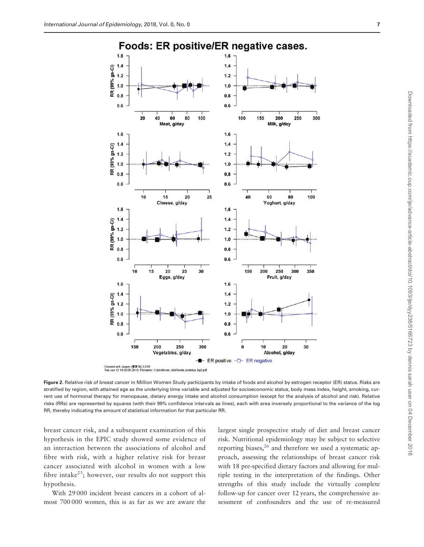<span id="page-6-0"></span>

Figure 2. Relative risk of breast cancer in Million Women Study participants by intake of foods and alcohol by estrogen receptor (ER) status. Risks are stratified by region, with attained age as the underlying time variable and adjusted for socioeconomic status, body mass index, height, smoking, current use of hormonal therapy for menopause, dietary energy intake and alcohol consumption (except for the analysis of alcohol and risk). Relative risks (RRs) are represented by squares (with their 99% confidence intervals as lines), each with area inversely proportional to the variance of the log RR, thereby indicating the amount of statistical information for that particular RR.

breast cancer risk, and a subsequent examination of this hypothesis in the EPIC study showed some evidence of an interaction between the associations of alcohol and fibre with risk, with a higher relative risk for breast cancer associated with alcohol in women with a low fibre intake<sup>25</sup>; however, our results do not support this hypothesis.

With 29 000 incident breast cancers in a cohort of almost 700 000 women, this is as far as we are aware the largest single prospective study of diet and breast cancer risk. Nutritional epidemiology may be subject to selective reporting biases,<sup>26</sup> and therefore we used a systematic approach, assessing the relationships of breast cancer risk with 18 pre-specified dietary factors and allowing for multiple testing in the interpretation of the findings. Other strengths of this study include the virtually complete follow-up for cancer over 12 years, the comprehensive assessment of confounders and the use of re-measured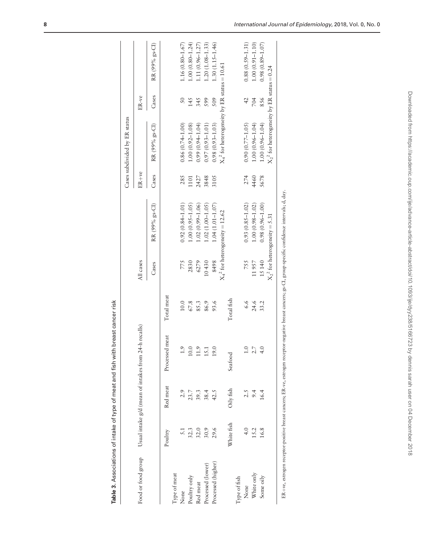<span id="page-7-0"></span>

|                    |               |           |                                                      |            |           |                                     |       | Cases subdivided by ER status                          |                |                       |
|--------------------|---------------|-----------|------------------------------------------------------|------------|-----------|-------------------------------------|-------|--------------------------------------------------------|----------------|-----------------------|
| Food or food group |               |           | Usual intake g/d (mean of intakes from 24-h recalls) |            | All cases |                                     | ER+ve |                                                        | ER-ve          |                       |
|                    |               |           |                                                      |            | Cases     | RR (99% gs-CI)                      | Cases | RR (99% gs-Cl)                                         | Cases          | RR (99% gs-CI)        |
|                    | Poultry       | Red meat  | Processed meat                                       | Total meat |           |                                     |       |                                                        |                |                       |
| Type of meat       |               |           |                                                      |            |           |                                     |       |                                                        |                |                       |
| None               | 5.1           | 2.9       | $\frac{1}{1}$                                        | 10.0       | 775       | $0.92(0.84 - 1.01)$                 | 285   | $0.86(0.74 - 1.00)$                                    | $50\,$         | $1.16(0.80 - 1.67)$   |
| Poultry only       | 32.3          | 23.7      | 10.0                                                 | $67.8$     | 2830      | $1.00(0.95 - 1.05)$                 | 1101  | $1.00(0.92 - 1.08)$                                    | 145            | $1.00(0.80 - 1.24)$   |
| Red meat           | 32.0          | 39.3      | 11.9                                                 | 85.3       | 6279      | $1.02(0.99 - 1.06)$                 | 2427  | $0.99(0.94 - 1.04)$                                    | 345            | 1.11 (0.96-1.27)      |
| Processed (lower)  | 30.9          | 38.4      | 15.1                                                 | 86.9       | 10430     | $1.02(1.00 - 1.05)$                 | 3848  | $0.97(0.93 - 1.01)$                                    | 599            | $1.20(1.08 - 1.33)$   |
| Processed (higher) | 29.6          | 42.5      | 19.0                                                 | 93.6       | 8498      | $1.04(1.01 - 1.07)$                 | 3105  | $0.98(0.93 - 1.03)$                                    | 509            | $1.30(1.15 - 1.46)$   |
|                    |               |           |                                                      |            |           | $X_4{}^2$ for heterogeneity = 12.62 |       | $X_4^2$ for heterogeneity by ER status = 10.61         |                |                       |
|                    | White fish    | Oily fish | Seafood                                              | Total fish |           |                                     |       |                                                        |                |                       |
| Type of fish       |               |           |                                                      |            |           |                                     |       |                                                        |                |                       |
| None               | $\frac{1}{4}$ | 2.5       | $\tilde{=}$                                          | 6.6        | 755       | $0.93(0.85 - 1.02)$                 | 274   | $0.90(0.77 - 1.05)$                                    | $\overline{4}$ | $0.88(0.59 - 1.31)$   |
| White only         | 15.2          | 9.4       | 2.7                                                  | 24.6       | 11957     | $1.00(0.98 - 1.02)$                 | 4460  | $1.00(0.96 - 1.04)$                                    | 704            | $1.00(0.91 - 1.10)$   |
| Some oily          | 16.8          | 16.4      | $rac{1}{4}$                                          | 33.2       | 15140     | $0.98(0.96 - 1.00)$                 | 5678  | $1.00(0.96 - 1.04)$                                    | 856            | $(0.98)(0.89 - 1.07)$ |
|                    |               |           |                                                      |            |           | $X_2^2$ for heterogeneity = 5.31    |       | $\mathrm{X_2}^2$ for heterogeneity by ER status = 0.24 |                |                       |

Table 3. Associations of intake of type of meat and fish with breast cancer risk Table 3. Associations of intake of type of meat and fish with breast cancer risk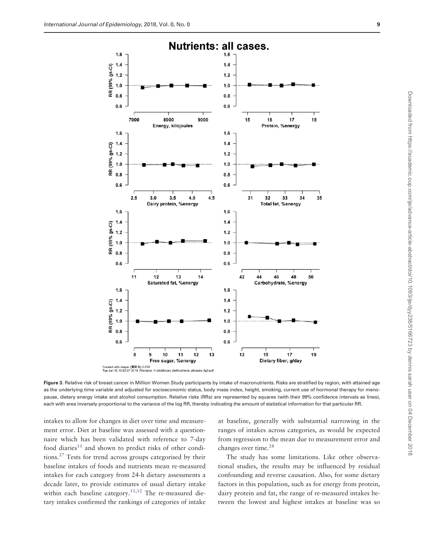Downloaded from https://academic.oup.com/ije/advance-article-abstract/doi/10.1093/ije/dyy238/5166723 by dennis sarah user on 04 December 2018

Downloaded from https://academic.oup.com/ije/advance-article-abstract/doi/10.1093/ije/dyy238/5166723 by dennis sarah user on 04 December 2018

<span id="page-8-0"></span>

Figure 3. Relative risk of breast cancer in Million Women Study participants by intake of macronutrients. Risks are stratified by region, with attained age as the underlying time variable and adjusted for socioeconomic status, body mass index, height, smoking, current use of hormonal therapy for menopause, dietary energy intake and alcohol consumption. Relative risks (RRs) are represented by squares (with their 99% confidence intervals as lines), each with area inversely proportional to the variance of the log RR, thereby indicating the amount of statistical information for that particular RR.

intakes to allow for changes in diet over time and measurement error. Diet at baseline was assessed with a questionnaire which has been validated with reference to 7-day food diaries $11$  and shown to predict risks of other conditions.[27](#page-11-0) Tests for trend across groups categorised by their baseline intakes of foods and nutrients mean re-measured intakes for each category from 24-h dietary assessments a decade later, to provide estimates of usual dietary intake within each baseline category.<sup>11,12</sup> The re-measured dietary intakes confirmed the rankings of categories of intake at baseline, generally with substantial narrowing in the ranges of intakes across categories, as would be expected from regression to the mean due to measurement error and changes over time.<sup>[28](#page-11-0)</sup>

The study has some limitations. Like other observational studies, the results may be influenced by residual confounding and reverse causation. Also, for some dietary factors in this population, such as for energy from protein, dairy protein and fat, the range of re-measured intakes between the lowest and highest intakes at baseline was so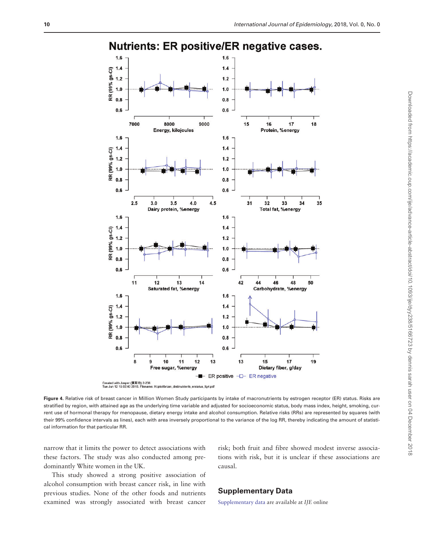<span id="page-9-0"></span>

**Nutrients: ER positive/ER negative cases.** 

Figure 4. Relative risk of breast cancer in Million Women Study participants by intake of macronutrients by estrogen receptor (ER) status. Risks are stratified by region, with attained age as the underlying time variable and adjusted for socioeconomic status, body mass index, height, smoking, current use of hormonal therapy for menopause, dietary energy intake and alcohol consumption. Relative risks (RRs) are represented by squares (with their 99% confidence intervals as lines), each with area inversely proportional to the variance of the log RR, thereby indicating the amount of statistical information for that particular RR.

H:/plot/brcan\_diet/nutrients\_erstatus\_fig4.pdf

narrow that it limits the power to detect associations with these factors. The study was also conducted among predominantly White women in the UK.

risk; both fruit and fibre showed modest inverse associations with risk, but it is unclear if these associations are causal.

This study showed a strong positive association of alcohol consumption with breast cancer risk, in line with previous studies. None of the other foods and nutrients examined was strongly associated with breast cancer

## Supplementary Data

[Supplementary data](https://academic.oup.com/ije/article-lookup/doi/10.1093/ije/dyy238#supplementary-data) are available at IJE online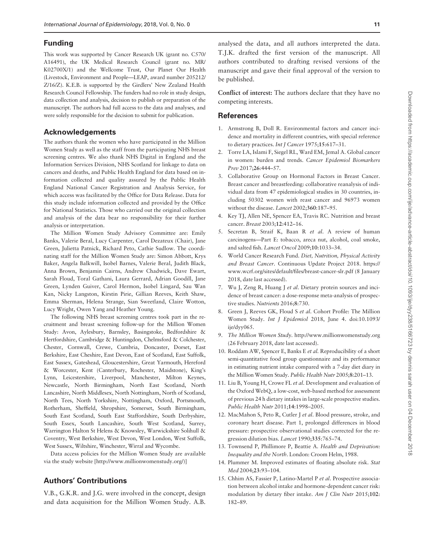## <span id="page-10-0"></span>Funding

This work was supported by Cancer Research UK (grant no. C570/ A16491), the UK Medical Research Council (grant no. MR/ K02700X/1) and the Wellcome Trust, Our Planet Our Health (Livestock, Environment and People—LEAP, award number 205212/ Z/16/Z). K.E.B. is supported by the Girdlers' New Zealand Health Research Council Fellowship. The funders had no role in study design, data collection and analysis, decision to publish or preparation of the manuscript. The authors had full access to the data and analyses, and were solely responsible for the decision to submit for publication.

## Acknowledgements

The authors thank the women who have participated in the Million Women Study as well as the staff from the participating NHS breast screening centres. We also thank NHS Digital in England and the Information Services Division, NHS Scotland for linkage to data on cancers and deaths, and Public Health England for data based on information collected and quality assured by the Public Health England National Cancer Registration and Analysis Service, for which access was facilitated by the Office for Data Release. Data for this study include information collected and provided by the Office for National Statistics. Those who carried out the original collection and analysis of the data bear no responsibility for their further analysis or interpretation.

The Million Women Study Advisory Committee are: Emily Banks, Valerie Beral, Lucy Carpenter, Carol Dezateux (Chair), Jane Green, Julietta Patnick, Richard Peto, Cathie Sudlow. The coordinating staff for the Million Women Study are: Simon Abbott, Krys Baker, Angela Balkwill, Isobel Barnes, Valerie Beral, Judith Black, Anna Brown, Benjamin Cairns, Andrew Chadwick, Dave Ewart, Sarah Floud, Toral Gathani, Laura Gerrard, Adrian Goodill, Jane Green, Lynden Guiver, Carol Hermon, Isobel Lingard, Sau Wan Kan, Nicky Langston, Kirstin Pirie, Gillian Reeves, Keith Shaw, Emma Sherman, Helena Strange, Sian Sweetland, Claire Wotton, Lucy Wright, Owen Yang and Heather Young.

The following NHS breast screening centres took part in the recruitment and breast screening follow-up for the Million Women Study: Avon, Aylesbury, Barnsley, Basingstoke, Bedfordshire & Hertfordshire, Cambridge & Huntingdon, Chelmsford & Colchester, Chester, Cornwall, Crewe, Cumbria, Doncaster, Dorset, East Berkshire, East Cheshire, East Devon, East of Scotland, East Suffolk, East Sussex, Gateshead, Gloucestershire, Great Yarmouth, Hereford & Worcester, Kent (Canterbury, Rochester, Maidstone), King's Lynn, Leicestershire, Liverpool, Manchester, Milton Keynes, Newcastle, North Birmingham, North East Scotland, North Lancashire, North Middlesex, North Nottingham, North of Scotland, North Tees, North Yorkshire, Nottingham, Oxford, Portsmouth, Rotherham, Sheffield, Shropshire, Somerset, South Birmingham, South East Scotland, South East Staffordshire, South Derbyshire, South Essex, South Lancashire, South West Scotland, Surrey, Warrington Halton St Helens & Knowsley, Warwickshire Solihull & Coventry, West Berkshire, West Devon, West London, West Suffolk, West Sussex, Wiltshire, Winchester, Wirral and Wycombe.

Data access policies for the Million Women Study are available via the study website [[http://www.millionwomenstudy.org/\)](http://www.millionwomenstudy.org/)]

## Authors' Contributions

V.B., G.K.R. and J.G. were involved in the concept, design and data acquisition for the Million Women Study. A.B.

analysed the data, and all authors interpreted the data. T.J.K. drafted the first version of the manuscript. All authors contributed to drafting revised versions of the manuscript and gave their final approval of the version to be published.

Conflict of interest: The authors declare that they have no competing interests.

#### **References**

- [1.](#page-1-0) Armstrong B, Doll R. Environmental factors and cancer incidence and mortality in different countries, with special reference to dietary practices. Int J Cancer 1975;15:617-31.
- [2.](#page-1-0) Torre LA, Islami F, Siegel RL, Ward EM, Jemal A. Global cancer in women: burden and trends. Cancer Epidemiol Biomarkers Prev 2017;26:444–57.
- [3.](#page-1-0) Collaborative Group on Hormonal Factors in Breast Cancer. Breast cancer and breastfeeding: collaborative reanalysis of individual data from 47 epidemiological studies in 30 countries, including 50302 women with reast cancer and 96973 women without the disease. Lancet 2002;360:187–95.
- [4.](#page-1-0) Key TJ, Allen NE, Spencer EA, Travis RC. Nutrition and breast cancer. Breast 2003;12:412–16.
- [5.](#page-1-0) Secretan B, Straif K, Baan R et al. A review of human carcinogens—Part E: tobacco, areca nut, alcohol, coal smoke, and salted fish. Lancet Oncol 2009;10:1033–34.
- [6.](#page-1-0) World Cancer Research Fund. Diet, Nutrition, Physical Activity and Breast Cancer. Continuous Update Project 2018. [https://](https://www.wcrf.org/sites/default/files/breast-cancer-slr.pdf) [www.wcrf.org/sites/default/files/breast-cancer-slr.pdf](https://www.wcrf.org/sites/default/files/breast-cancer-slr.pdf) (8 January 2018, date last accessed).
- [7.](#page-1-0) Wu J, Zeng R, Huang J et al. Dietary protein sources and incidence of breast cancer: a dose-response meta-analysis of prospective studies. Nutrients 2016;8:730.
- [8.](#page-1-0) Green J, Reeves GK, Floud S et al. Cohort Profile: The Million Women Study. Int J Epidemiol 2018, June 4. doi:10.1093/ ije/dyy065.
- [9.](#page-1-0) The Million Women Study.<http://www.millionwomenstudy.org> (26 February 2018, date last accessed).
- [10.](#page-1-0) Roddam AW, Spencer E, Banks E et al. Reproducibility of a short semi-quantitative food group questionnaire and its performance in estimating nutrient intake compared with a 7-day diet diary in the Million Women Study. Public Health Nutr 2005;8:201–13.
- [11.](#page-2-0) Liu B, Young H, Crowe FL et al. Development and evaluation of the Oxford WebQ, a low-cost, web-based method for assessment of previous 24 h dietary intakes in large-scale prospective studies. Public Health Nutr 2011;14:1998–2005.
- [12.](#page-2-0) MacMahon S, Peto R, Cutler J et al. Blood pressure, stroke, and coronary heart disease. Part 1, prolonged differences in blood pressure: prospective observational studies corrected for the regression dilution bias. Lancet 1990;335:765–74.
- [13.](#page-2-0) Townsend P, Phillimore P, Beattie A. Health and Deprivation: Inequality and the North. London: Croom Helm, 1988.
- [14.](#page-2-0) Plummer M. Improved estimates of floating absolute risk. Stat Med 2004;23:93–104.
- [15.](#page-3-0) Chhim AS, Fassier P, Latino-Martel P et al. Prospective association between alcohol intake and hormone-dependent cancer risk: modulation by dietary fiber intake. Am J Clin Nutr 2015;102: 182–89.